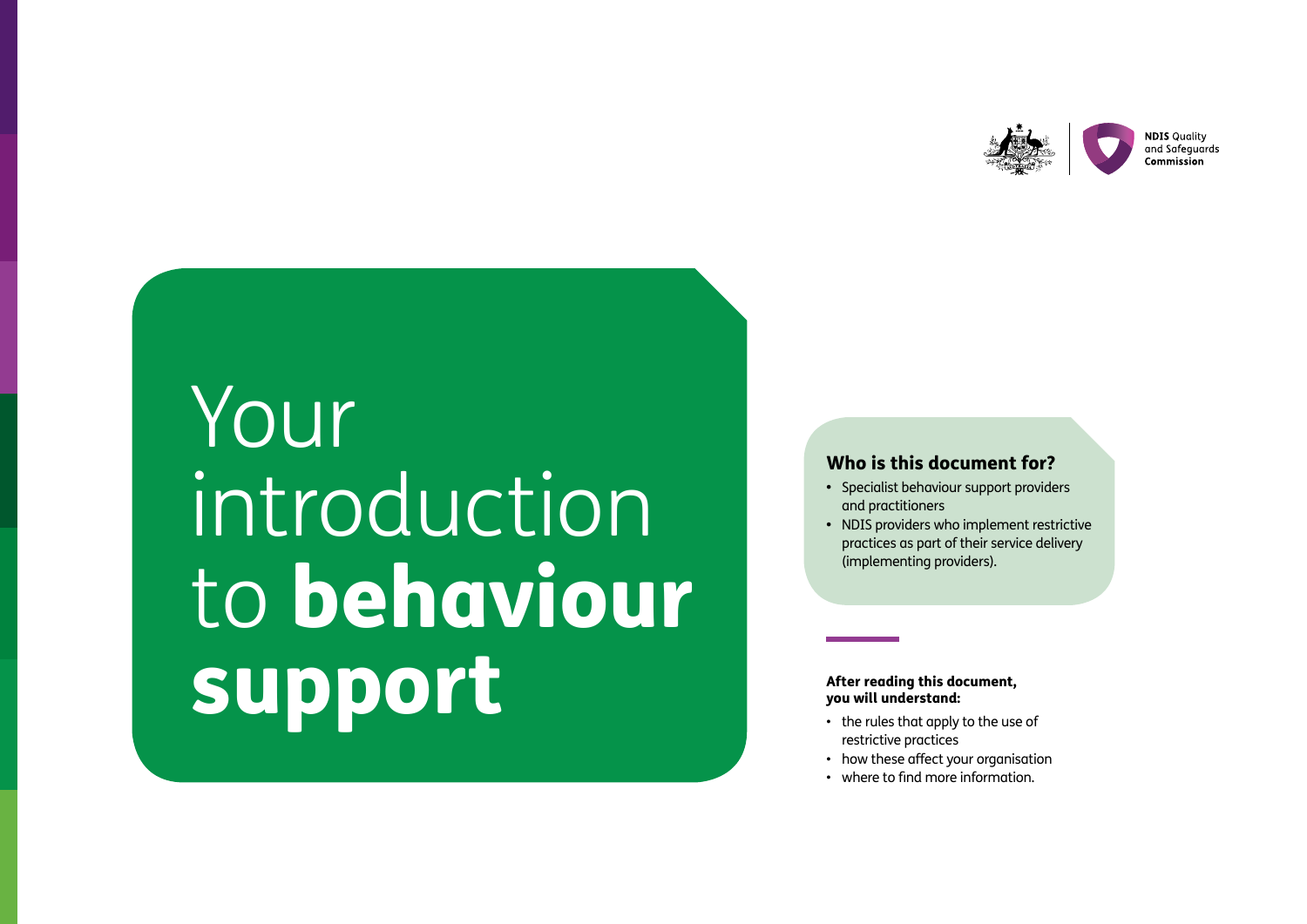

# Your introduction to behaviour support

#### Who is this document for?

- Specialist behaviour support providers and practitioners
- NDIS providers who implement restrictive practices as part of their service delivery (implementing providers).

#### After reading this document, you will understand:

- the rules that apply to the use of restrictive practices
- how these affect your organisation
- where to find more information.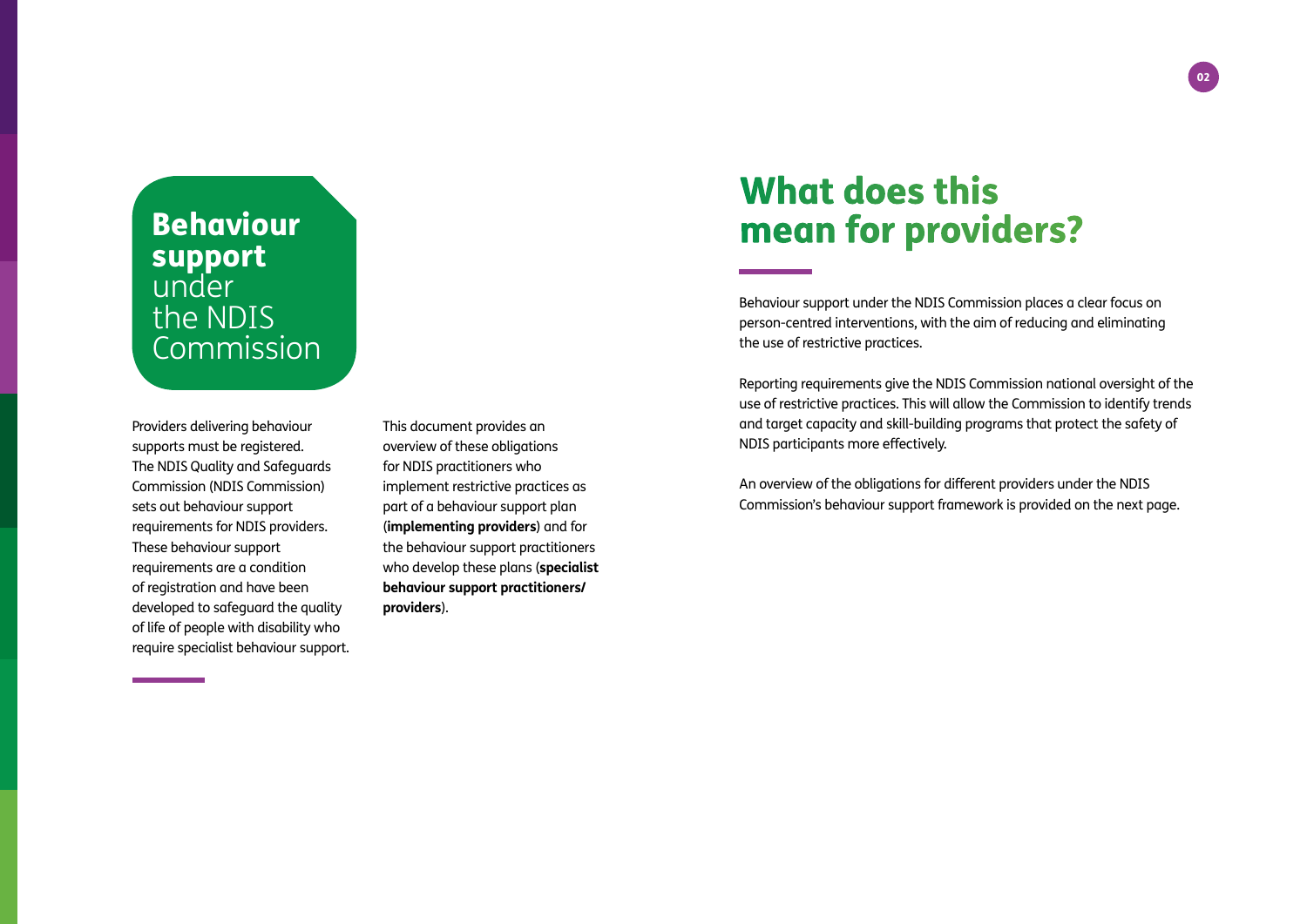## Behaviour support under the NDIS Commission

Providers delivering behaviour supports must be registered. The NDIS Quality and Safeguards Commission (NDIS Commission) sets out behaviour support requirements for NDIS providers. These behaviour support requirements are a condition of registration and have been developed to safeguard the quality of life of people with disability who require specialist behaviour support.

This document provides an overview of these obligations for NDIS practitioners who implement restrictive practices as part of a behaviour support plan (**implementing providers**) and for the behaviour support practitioners who develop these plans (**specialist behaviour support practitioners/ providers**).

# What does this mean for providers?

Behaviour support under the NDIS Commission places a clear focus on person-centred interventions, with the aim of reducing and eliminating the use of restrictive practices.

Reporting requirements give the NDIS Commission national oversight of the use of restrictive practices. This will allow the Commission to identify trends and target capacity and skill-building programs that protect the safety of NDIS participants more effectively.

An overview of the obligations for different providers under the NDIS Commission's behaviour support framework is provided on the next page.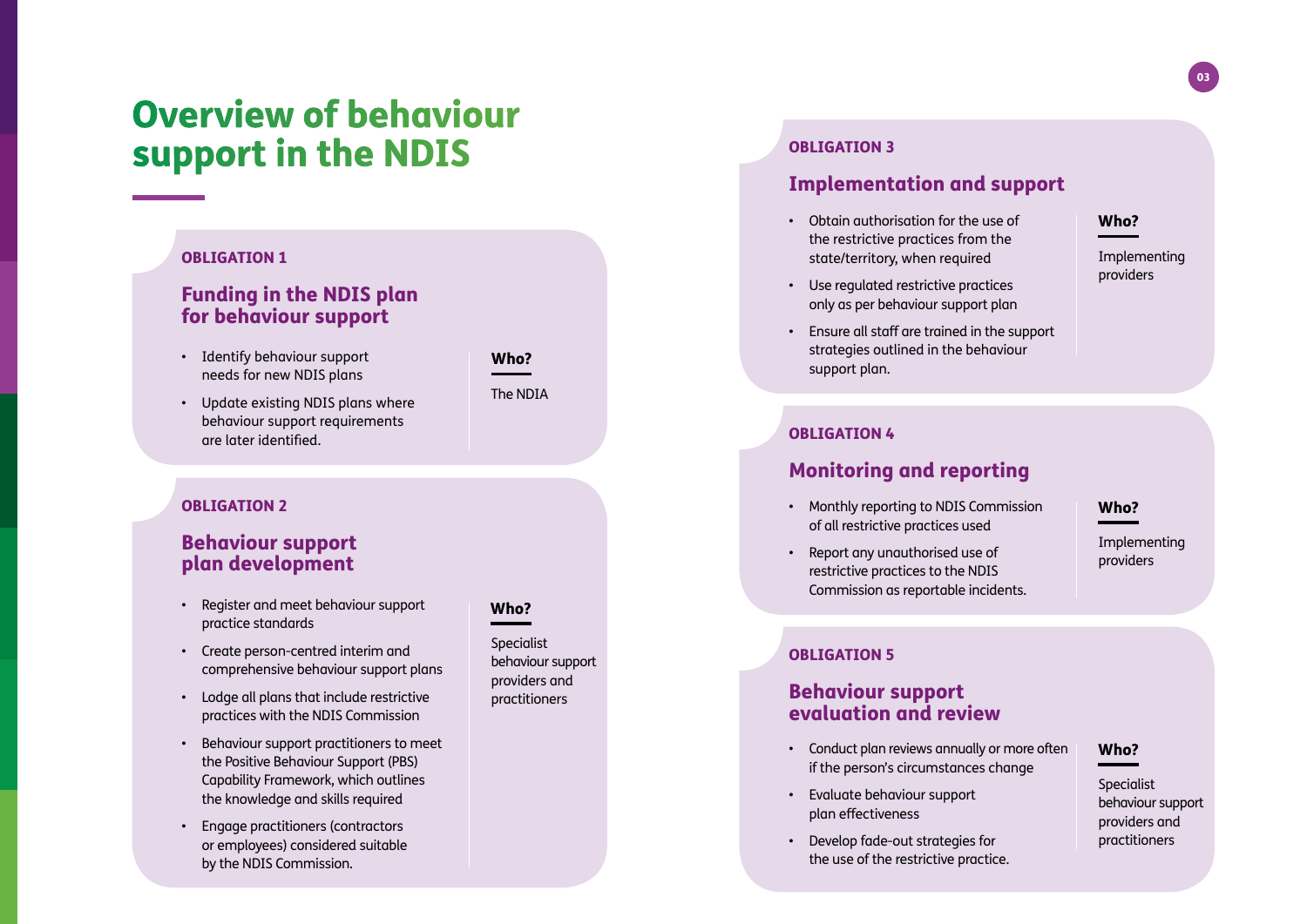### $\overline{03}$

# Overview of behaviour support in the NDIS

#### OBLIGATION 1

### Funding in the NDIS plan for behaviour support

- Identify behaviour support needs for new NDIS plans
- Update existing NDIS plans where behaviour support requirements are later identified.

#### OBLIGATION 2

### Behaviour support plan development

- Register and meet behaviour support practice standards
- Create person-centred interim and comprehensive behaviour support plans
- Lodge all plans that include restrictive practices with the NDIS Commission
- Behaviour support practitioners to meet the Positive Behaviour Support (PBS) Capability Framework, which outlines the knowledge and skills required
- Engage practitioners (contractors or employees) considered suitable by the NDIS Commission.

#### Who?

Who?

The NDIA

**Specialist** behaviour support providers and practitioners

#### OBLIGATION 3

### Implementation and support

• Obtain authorisation for the use of the restrictive practices from the state/territory, when required

#### Who?

Implementing providers

- Use regulated restrictive practices only as per behaviour support plan
- Ensure all staff are trained in the support strategies outlined in the behaviour support plan.

#### OBLIGATION 4

### Monitoring and reporting

- Monthly reporting to NDIS Commission of all restrictive practices used
- Report any unauthorised use of restrictive practices to the NDIS Commission as reportable incidents.

#### Who?

Implementing providers

#### OBLIGATION 5

### Behaviour support evaluation and review

- Conduct plan reviews annually or more often if the person's circumstances change
- Evaluate behaviour support plan effectiveness
- Develop fade-out strategies for the use of the restrictive practice.

#### Who?

Specialist behaviour support providers and practitioners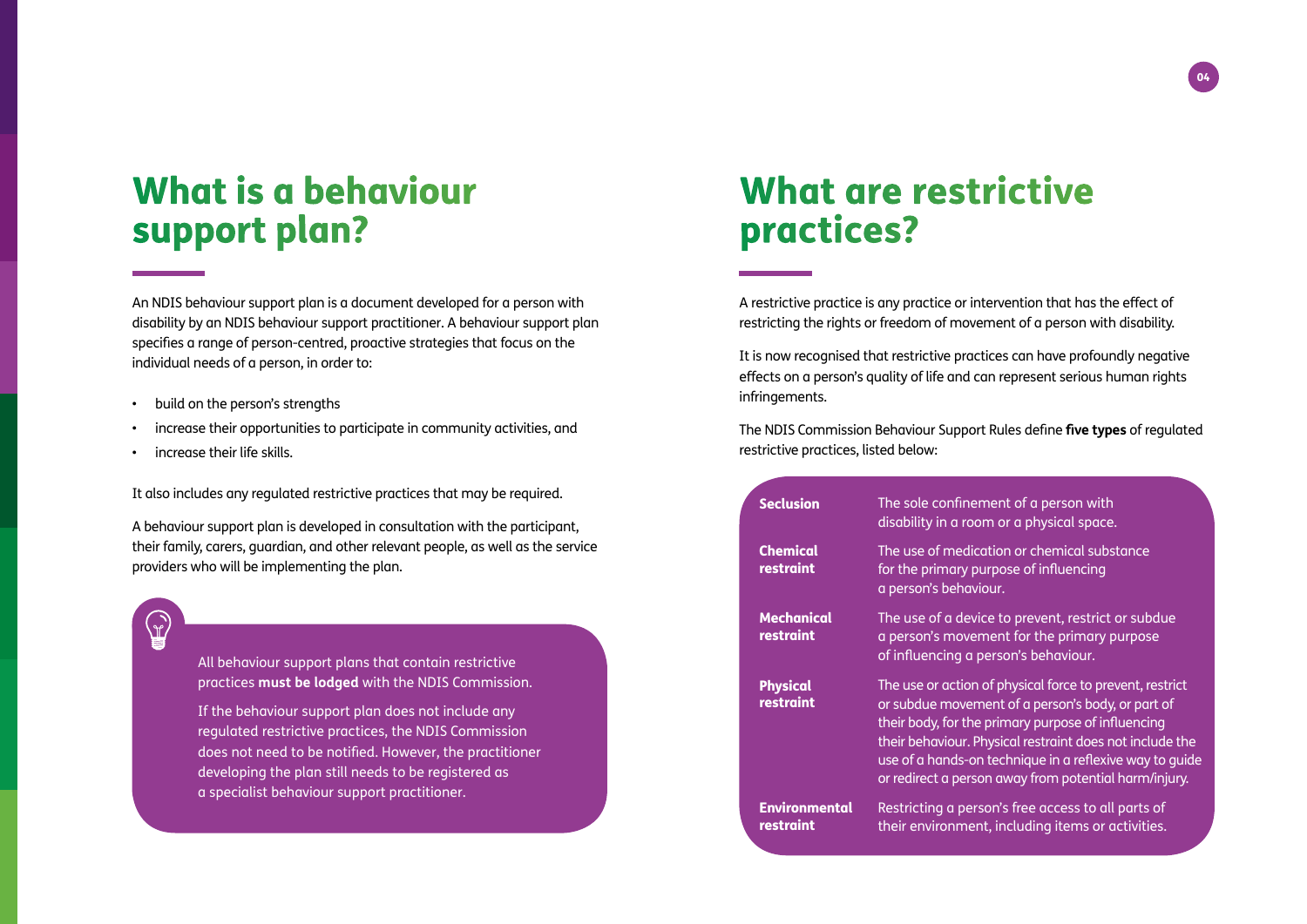# What is a behaviour support plan?

An NDIS behaviour support plan is a document developed for a person with disability by an NDIS behaviour support practitioner. A behaviour support plan specifies a range of person-centred, proactive strategies that focus on the individual needs of a person, in order to:

- build on the person's strengths
- increase their opportunities to participate in community activities, and
- increase their life skills.

It also includes any regulated restrictive practices that may be required.

A behaviour support plan is developed in consultation with the participant, their family, carers, guardian, and other relevant people, as well as the service providers who will be implementing the plan.

 $\binom{1}{r}$ 

All behaviour support plans that contain restrictive practices **must be lodged** with the NDIS Commission.

If the behaviour support plan does not include any regulated restrictive practices, the NDIS Commission does not need to be notified. However, the practitioner developing the plan still needs to be registered as a specialist behaviour support practitioner.

# What are restrictive practices?

A restrictive practice is any practice or intervention that has the effect of restricting the rights or freedom of movement of a person with disability.

It is now recognised that restrictive practices can have profoundly negative effects on a person's quality of life and can represent serious human rights infringements.

The NDIS Commission Behaviour Support Rules define **five types** of regulated restrictive practices, listed below:

| <b>Seclusion</b>                  | The sole confinement of a person with<br>disability in a room or a physical space.                                                                                                                                                                                                                                                                  |
|-----------------------------------|-----------------------------------------------------------------------------------------------------------------------------------------------------------------------------------------------------------------------------------------------------------------------------------------------------------------------------------------------------|
| <b>Chemical</b><br>restraint      | The use of medication or chemical substance<br>for the primary purpose of influencing<br>a person's behaviour.                                                                                                                                                                                                                                      |
| <b>Mechanical</b><br>restraint    | The use of a device to prevent, restrict or subdue<br>a person's movement for the primary purpose<br>of influencing a person's behaviour.                                                                                                                                                                                                           |
| <b>Physical</b><br>restraint      | The use or action of physical force to prevent, restrict<br>or subdue movement of a person's body, or part of<br>their body, for the primary purpose of influencing<br>their behaviour. Physical restraint does not include the<br>use of a hands-on technique in a reflexive way to guide<br>or redirect a person away from potential harm/injury. |
| <b>Environmental</b><br>restraint | Restricting a person's free access to all parts of<br>their environment, including items or activities.                                                                                                                                                                                                                                             |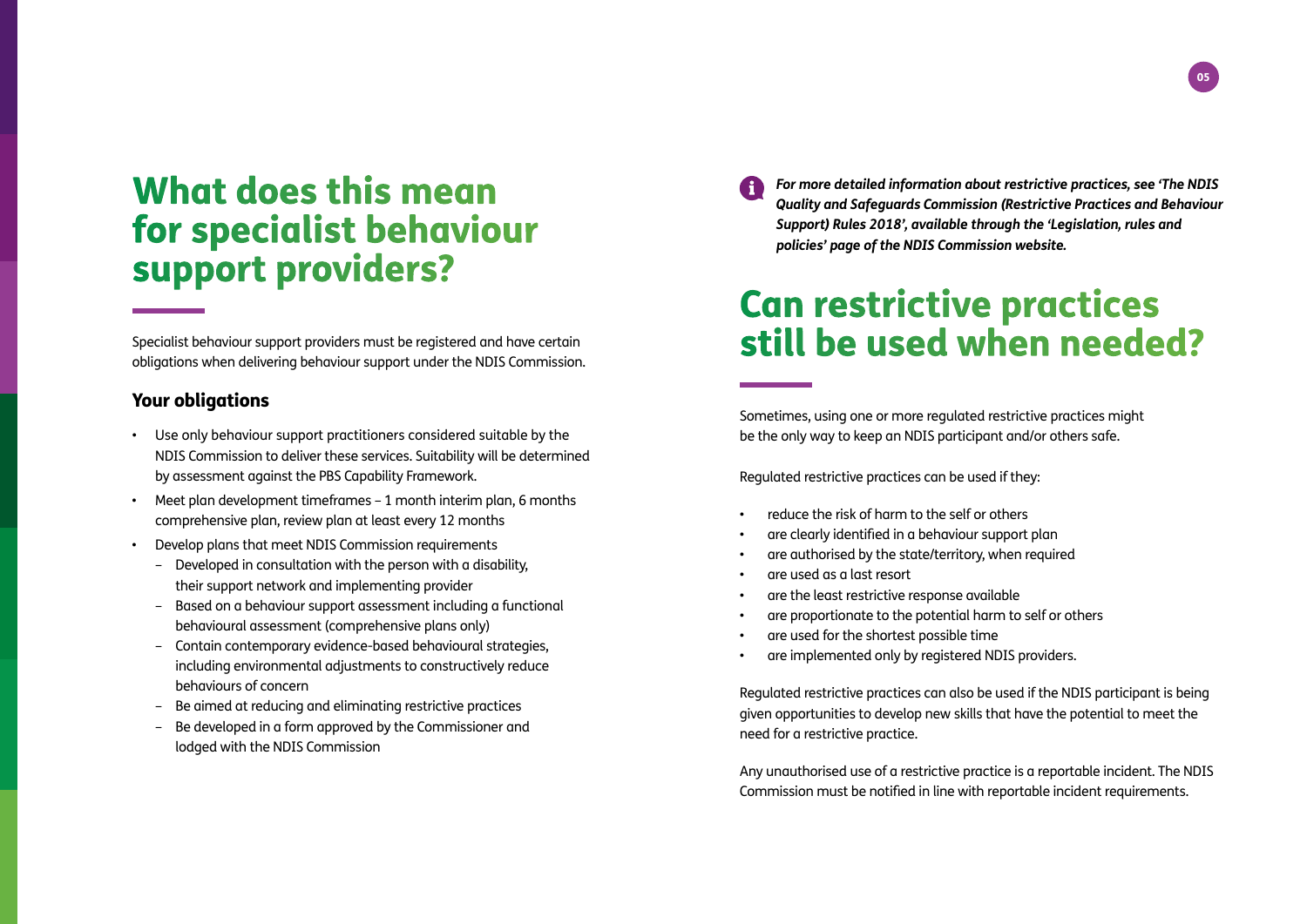# What does this mean for specialist behaviour support providers?

Specialist behaviour support providers must be registered and have certain obligations when delivering behaviour support under the NDIS Commission.

#### Your obligations

- Use only behaviour support practitioners considered suitable by the NDIS Commission to deliver these services. Suitability will be determined by assessment against the PBS Capability Framework.
- Meet plan development timeframes 1 month interim plan, 6 months comprehensive plan, review plan at least every 12 months
- Develop plans that meet NDIS Commission requirements
	- Developed in consultation with the person with a disability, their support network and implementing provider
	- Based on a behaviour support assessment including a functional behavioural assessment (comprehensive plans only)
	- Contain contemporary evidence-based behavioural strategies, including environmental adjustments to constructively reduce behaviours of concern
	- Be aimed at reducing and eliminating restrictive practices
	- Be developed in a form approved by the Commissioner and lodged with the NDIS Commission

*For more detailed information about restrictive practices, see 'The NDIS [Quality and Safeguards Commission \(Restrictive Practices and Behaviour](https://www.ndiscommission.gov.au/about/legislation-rules-policies)  Support) Rules 2018', available through the 'Legislation, rules and policies' page of the NDIS Commission website.*

# Can restrictive practices still be used when needed?

Sometimes, using one or more regulated restrictive practices might be the only way to keep an NDIS participant and/or others safe.

Regulated restrictive practices can be used if they:

- reduce the risk of harm to the self or others
- are clearly identified in a behaviour support plan
- are authorised by the state/territory, when required
- are used as a last resort
- are the least restrictive response available
- are proportionate to the potential harm to self or others
- are used for the shortest possible time
- are implemented only by registered NDIS providers.

Regulated restrictive practices can also be used if the NDIS participant is being given opportunities to develop new skills that have the potential to meet the need for a restrictive practice.

Any unguthorised use of a restrictive practice is a reportable incident. The NDIS Commission must be notified in line with reportable incident requirements.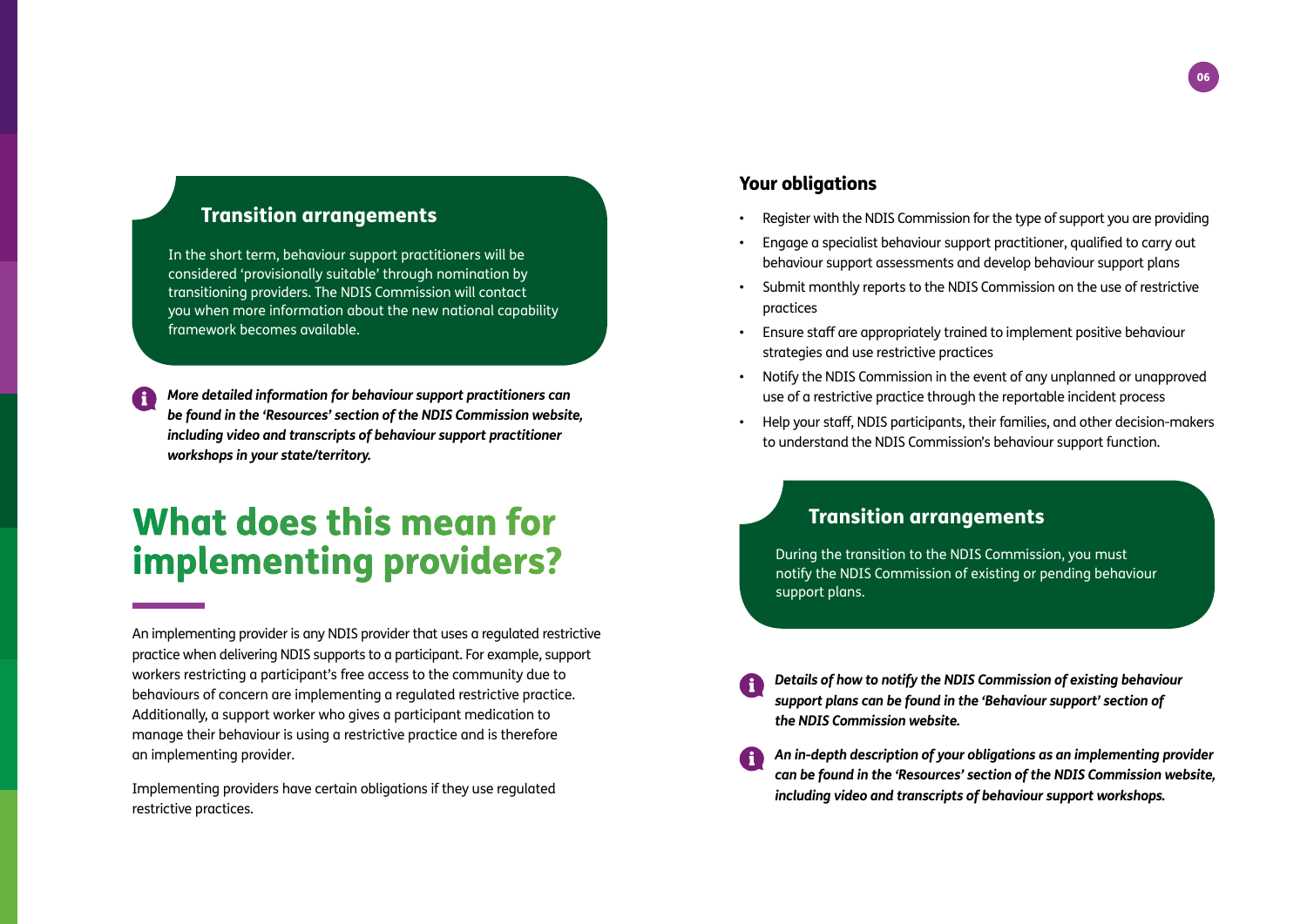### Transition arrangements

In the short term, behaviour support practitioners will be considered 'provisionally suitable' through nomination by transitioning providers. The NDIS Commission will contact you when more information about the new national capability framework becomes available.

*More detailed information for behaviour support practitioners can [be found in the 'Resources' section of the NDIS Commission website,](https://www.ndiscommission.gov.au/resources)  including video and transcripts of behaviour support practitioner workshops in your state/territory.*

# What does this mean for implementing providers?

An implementing provider is any NDIS provider that uses a regulated restrictive practice when delivering NDIS supports to a participant. For example, support workers restricting a participant's free access to the community due to behaviours of concern are implementing a regulated restrictive practice. Additionally, a support worker who gives a participant medication to manage their behaviour is using a restrictive practice and is therefore an implementing provider.

Implementing providers have certain obligations if they use regulated restrictive practices.

### Your obligations

- Register with the NDIS Commission for the type of support you are providing
- Engage a specialist behaviour support practitioner, qualified to carry out behaviour support assessments and develop behaviour support plans
- Submit monthly reports to the NDIS Commission on the use of restrictive practices
- Ensure staff are appropriately trained to implement positive behaviour strategies and use restrictive practices
- Notify the NDIS Commission in the event of any unplanned or unapproved use of a restrictive practice through the reportable incident process
- Help your staff, NDIS participants, their families, and other decision-makers to understand the NDIS Commission's behaviour support function.

### Transition arrangements

During the transition to the NDIS Commission, you must notify the NDIS Commission of existing or pending behaviour support plans.

- *[Details of how to notify the NDIS Commission of existing behaviour](https://www.ndiscommission.gov.au/providers/behaviour-support#04)  support plans can be found in the 'Behaviour support' section of the NDIS Commission website.*
- *An in-depth description of your obligations as an implementing provider [can be found in the 'Resources' section of the NDIS Commission website,](https://www.ndiscommission.gov.au/resources)  including video and transcripts of behaviour support workshops.*